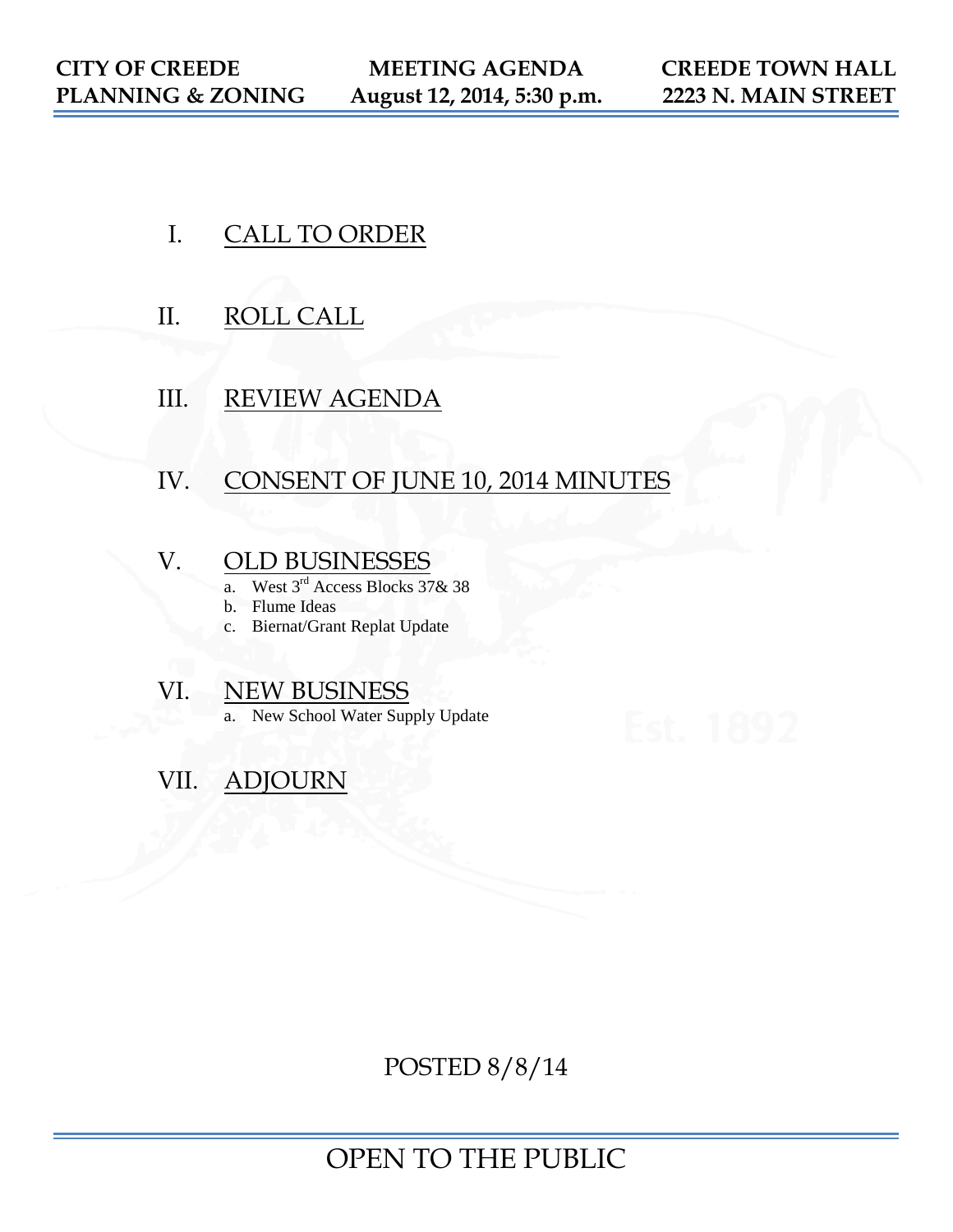- I. CALL TO ORDER
- II. ROLL CALL
- III. REVIEW AGENDA

# IV. CONSENT OF JUNE 10, 2014 MINUTES

- V. OLD BUSINESSES
	- a. West 3rd Access Blocks 37& 38
	- b. Flume Ideas
	- c. Biernat/Grant Replat Update

# VI. NEW BUSINESS

a. New School Water Supply Update

VII. ADJOURN

POSTED 8/8/14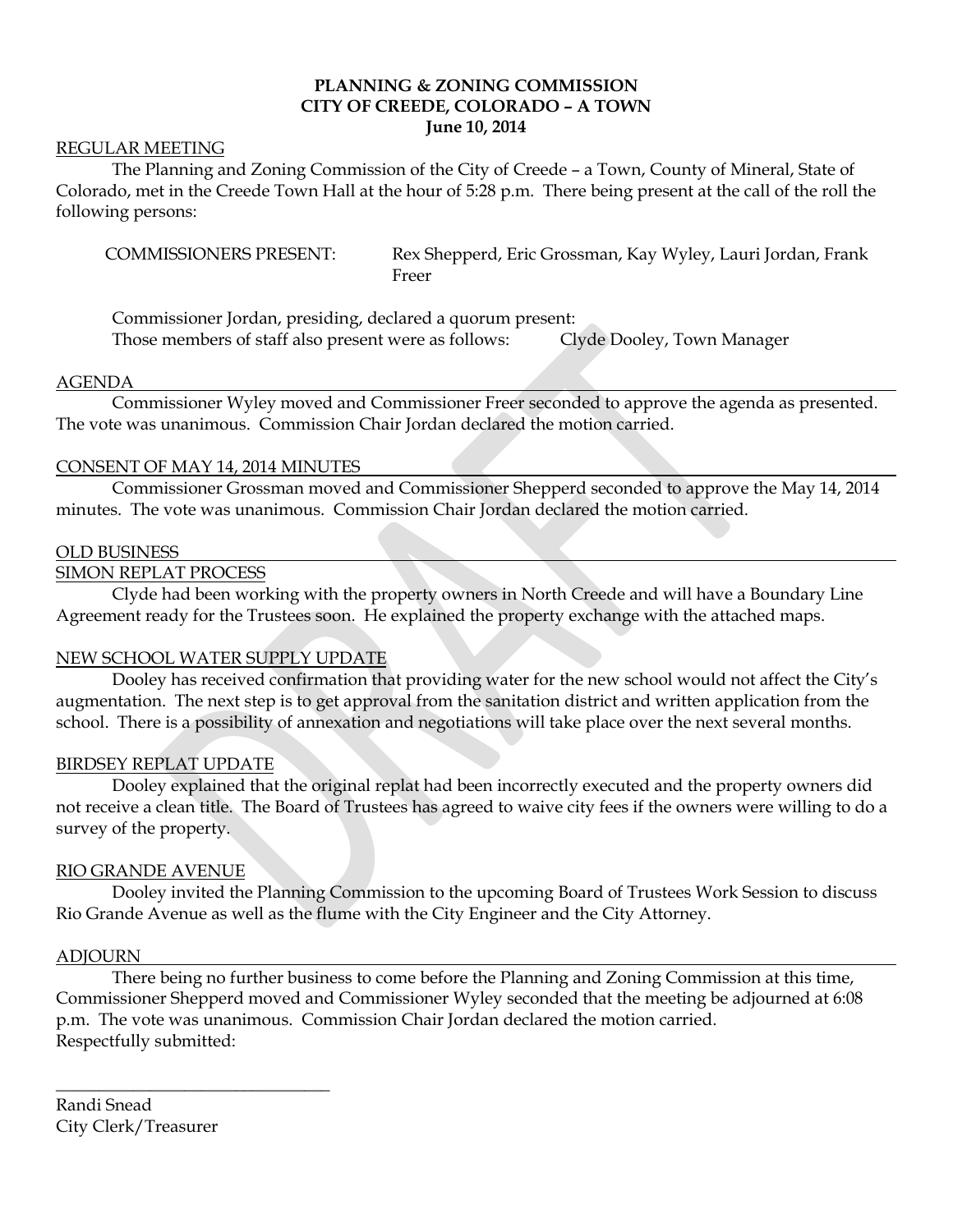# **PLANNING & ZONING COMMISSION CITY OF CREEDE, COLORADO – A TOWN June 10, 2014**

## REGULAR MEETING

The Planning and Zoning Commission of the City of Creede – a Town, County of Mineral, State of Colorado, met in the Creede Town Hall at the hour of 5:28 p.m. There being present at the call of the roll the following persons:

COMMISSIONERS PRESENT: Rex Shepperd, Eric Grossman, Kay Wyley, Lauri Jordan, Frank Freer

Commissioner Jordan, presiding, declared a quorum present: Those members of staff also present were as follows: Clyde Dooley, Town Manager

#### AGENDA

Commissioner Wyley moved and Commissioner Freer seconded to approve the agenda as presented. The vote was unanimous. Commission Chair Jordan declared the motion carried.

## CONSENT OF MAY 14, 2014 MINUTES

Commissioner Grossman moved and Commissioner Shepperd seconded to approve the May 14, 2014 minutes. The vote was unanimous. Commission Chair Jordan declared the motion carried.

## OLD BUSINESS

## SIMON REPLAT PROCESS

Clyde had been working with the property owners in North Creede and will have a Boundary Line Agreement ready for the Trustees soon. He explained the property exchange with the attached maps.

# NEW SCHOOL WATER SUPPLY UPDATE

Dooley has received confirmation that providing water for the new school would not affect the City's augmentation. The next step is to get approval from the sanitation district and written application from the school. There is a possibility of annexation and negotiations will take place over the next several months.

## BIRDSEY REPLAT UPDATE

Dooley explained that the original replat had been incorrectly executed and the property owners did not receive a clean title. The Board of Trustees has agreed to waive city fees if the owners were willing to do a survey of the property.

## RIO GRANDE AVENUE

Dooley invited the Planning Commission to the upcoming Board of Trustees Work Session to discuss Rio Grande Avenue as well as the flume with the City Engineer and the City Attorney.

## ADJOURN

There being no further business to come before the Planning and Zoning Commission at this time, Commissioner Shepperd moved and Commissioner Wyley seconded that the meeting be adjourned at 6:08 p.m. The vote was unanimous. Commission Chair Jordan declared the motion carried. Respectfully submitted:

Randi Snead City Clerk/Treasurer

\_\_\_\_\_\_\_\_\_\_\_\_\_\_\_\_\_\_\_\_\_\_\_\_\_\_\_\_\_\_\_\_